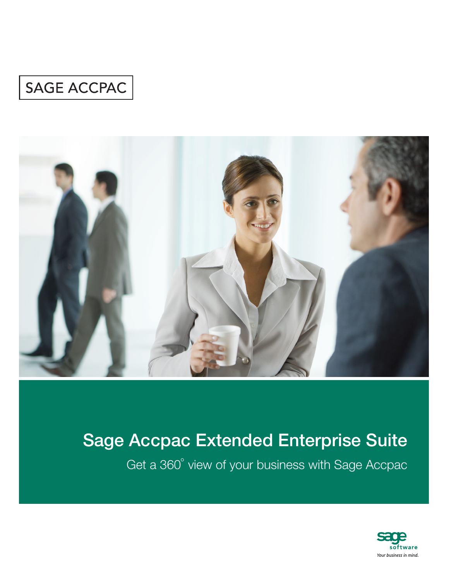### SAGE ACCPAC



## Sage Accpac Extended Enterprise Suite

Get a 360° view of your business with Sage Accpac

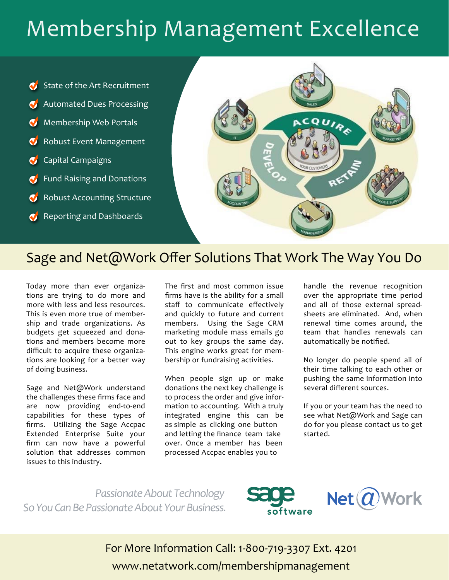## Membership Management Excellence





# Sage and Net@Work Offer Solutions That Work The Way You Do

Today more than ever organizations are trying to do more and more with less and less resources. This is even more true of membership and trade organizations. As budgets get squeezed and donations and members become more difficult to acquire these organizations are looking for a better way of doing business.

Sage and Net@Work understand the challenges these firms face and are now providing end-to-end capabilities for these types of firms. Utilizing the Sage Accpac Extended Enterprise Suite your firm can now have a powerful solution that addresses common issues to this industry.

The first and most common issue firms have is the ability for a small staff to communicate effectively and quickly to future and current members. Using the Sage CRM marketing module mass emails go out to key groups the same day. This engine works great for membership or fundraising activities.

When people sign up or make donations the next key challenge is to process the order and give information to accounting. With a truly integrated engine this can be as simple as clicking one button and letting the finance team take over. Once a member has been processed Accpac enables you to

handle the revenue recognition over the appropriate time period and all of those external spreadsheets are eliminated. And, when renewal time comes around, the team that handles renewals can automatically be notified.

No longer do people spend all of their time talking to each other or pushing the same information into several different sources.

If you or your team has the need to see what Net@Work and Sage can do for you please contact us to get started.

*Passionate About Technology So You Can Be Passionate About Your Business.*





For More Information Call: 1-800-719-3307 Ext. 4201 www.netatwork.com/membershipmanagement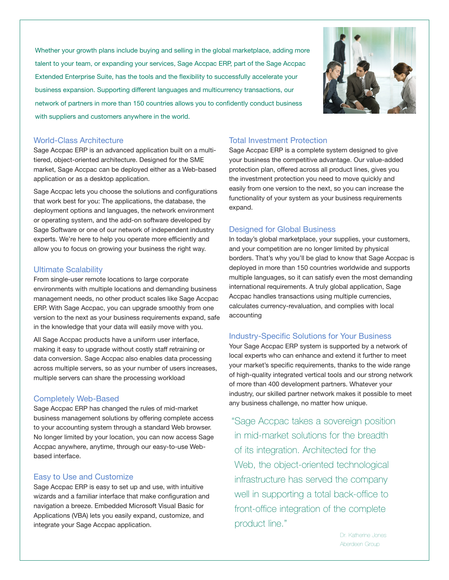Whether your growth plans include buying and selling in the global marketplace, adding more talent to your team, or expanding your services, Sage Accpac ERP, part of the Sage Accpac Extended Enterprise Suite, has the tools and the flexibility to successfully accelerate your business expansion. Supporting different languages and multicurrency transactions, our network of partners in more than 150 countries allows you to confidently conduct business with suppliers and customers anywhere in the world.



#### World-Class Architecture

Sage Accpac ERP is an advanced application built on a multitiered, object-oriented architecture. Designed for the SME market, Sage Accpac can be deployed either as a Web-based application or as a desktop application.

Sage Accpac lets you choose the solutions and configurations that work best for you: The applications, the database, the deployment options and languages, the network environment or operating system, and the add-on software developed by Sage Software or one of our network of independent industry experts. We're here to help you operate more efficiently and allow you to focus on growing your business the right way.

#### Ultimate Scalability

From single-user remote locations to large corporate environments with multiple locations and demanding business management needs, no other product scales like Sage Accpac ERP. With Sage Accpac, you can upgrade smoothly from one version to the next as your business requirements expand, safe in the knowledge that your data will easily move with you.

All Sage Accpac products have a uniform user interface, making it easy to upgrade without costly staff retraining or data conversion. Sage Accpac also enables data processing across multiple servers, so as your number of users increases, multiple servers can share the processing workload

#### Completely Web-Based

Sage Accpac ERP has changed the rules of mid-market business management solutions by offering complete access to your accounting system through a standard Web browser. No longer limited by your location, you can now access Sage Accpac anywhere, anytime, through our easy-to-use Webbased interface.

#### Easy to Use and Customize

Sage Accpac ERP is easy to set up and use, with intuitive wizards and a familiar interface that make configuration and navigation a breeze. Embedded Microsoft Visual Basic for Applications (VBA) lets you easily expand, customize, and integrate your Sage Accpac application.

#### Total Investment Protection

Sage Accpac ERP is a complete system designed to give your business the competitive advantage. Our value-added protection plan, offered across all product lines, gives you the investment protection you need to move quickly and easily from one version to the next, so you can increase the functionality of your system as your business requirements expand.

#### Designed for Global Business

In today's global marketplace, your supplies, your customers, and your competition are no longer limited by physical borders. That's why you'll be glad to know that Sage Accpac is deployed in more than 150 countries worldwide and supports multiple languages, so it can satisfy even the most demanding international requirements. A truly global application, Sage Accpac handles transactions using multiple currencies, calculates currency-revaluation, and complies with local accounting

#### Industry-Specific Solutions for Your Business

Your Sage Accpac ERP system is supported by a network of local experts who can enhance and extend it further to meet your market's specific requirements, thanks to the wide range of high-quality integrated vertical tools and our strong network of more than 400 development partners. Whatever your industry, our skilled partner network makes it possible to meet any business challenge, no matter how unique.

"Sage Accpac takes a sovereign position in mid-market solutions for the breadth of its integration. Architected for the Web, the object-oriented technological infrastructure has served the company well in supporting a total back-office to front-office integration of the complete product line."

> Dr. Katherine Jones Aberdeen Group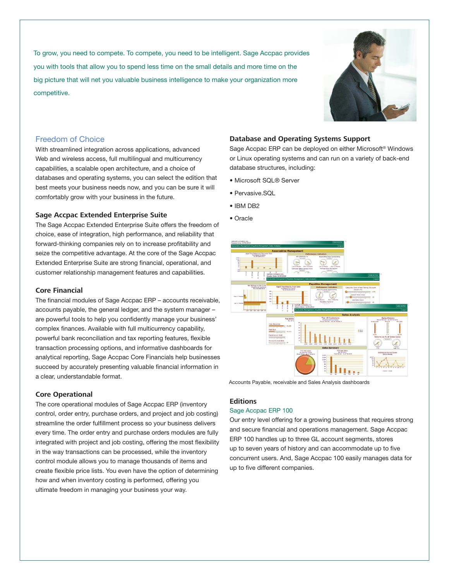To grow, you need to compete. To compete, you need to be intelligent. Sage Accpac provides you with tools that allow you to spend less time on the small details and more time on the big picture that will net you valuable business intelligence to make your organization more competitive.



#### Freedom of Choice

With streamlined integration across applications, advanced Web and wireless access, full multilingual and multicurrency capabilities, a scalable open architecture, and a choice of databases and operating systems, you can select the edition that best meets your business needs now, and you can be sure it will comfortably grow with your business in the future.

#### **Sage Accpac Extended Enterprise Suite**

The Sage Accpac Extended Enterprise Suite offers the freedom of choice, ease of integration, high performance, and reliability that forward-thinking companies rely on to increase profitability and seize the competitive advantage. At the core of the Sage Accpac Extended Enterprise Suite are strong financial, operational, and customer relationship management features and capabilities.

#### **Core Financial**

The financial modules of Sage Accpac ERP – accounts receivable, accounts payable, the general ledger, and the system manager – are powerful tools to help you confidently manage your business' complex finances. Available with full multicurrency capability, powerful bank reconciliation and tax reporting features, flexible transaction processing options, and informative dashboards for analytical reporting, Sage Accpac Core Financials help businesses succeed by accurately presenting valuable financial information in a clear, understandable format.

#### **Core Operational**

The core operational modules of Sage Accpac ERP (inventory control, order entry, purchase orders, and project and job costing) streamline the order fulfillment process so your business delivers every time. The order entry and purchase orders modules are fully integrated with project and job costing, offering the most flexibility in the way transactions can be processed, while the inventory control module allows you to manage thousands of items and create flexible price lists. You even have the option of determining how and when inventory costing is performed, offering you ultimate freedom in managing your business your way.

#### **Database and Operating Systems Support**

Sage Accpac ERP can be deployed on either Microsoft® Windows or Linux operating systems and can run on a variety of back-end database structures, including:

- Microsoft SQL® Server
- Pervasive.SQL
- IBM DB2
- Oracle



Accounts Payable, receivable and Sales Analysis dashboards

#### **Editions**

#### Sage Accpac ERP 100

Our entry level offering for a growing business that requires strong and secure financial and operations management. Sage Accpac ERP 100 handles up to three GL account segments, stores up to seven years of history and can accommodate up to five concurrent users. And, Sage Accpac 100 easily manages data for up to five different companies.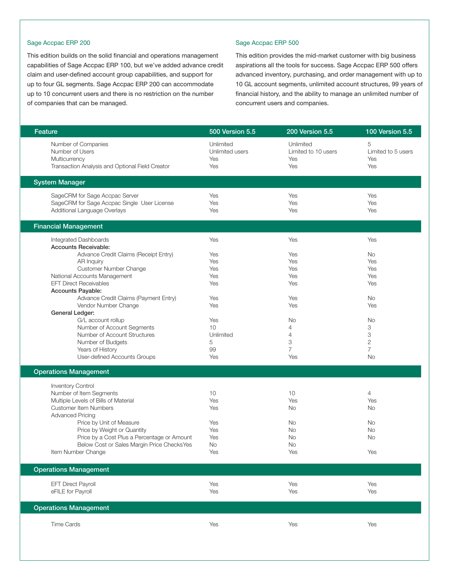#### Sage Accpac ERP 200

This edition builds on the solid financial and operations management capabilities of Sage Accpac ERP 100, but we've added advance credit claim and user-defined account group capabilities, and support for up to four GL segments. Sage Accpac ERP 200 can accommodate up to 10 concurrent users and there is no restriction on the number of companies that can be managed.

#### Sage Accpac ERP 500

This edition provides the mid-market customer with big business aspirations all the tools for success. Sage Accpac ERP 500 offers advanced inventory, purchasing, and order management with up to 10 GL account segments, unlimited account structures, 99 years of financial history, and the ability to manage an unlimited number of concurrent users and companies.

| Feature                                                                                                                                                                     | 500 Version 5.5                                   | 200 Version 5.5                                                      | 100 Version 5.5                           |
|-----------------------------------------------------------------------------------------------------------------------------------------------------------------------------|---------------------------------------------------|----------------------------------------------------------------------|-------------------------------------------|
| Number of Companies<br>Number of Users<br>Multicurrency<br>Transaction Analysis and Optional Field Creator                                                                  | Unlimited<br><b>Unlimited users</b><br>Yes<br>Yes | Unlimited<br>Limited to 10 users<br>Yes<br>Yes                       | 5<br>Limited to 5 users<br>Yes<br>Yes     |
|                                                                                                                                                                             |                                                   |                                                                      |                                           |
| <b>System Manager</b>                                                                                                                                                       |                                                   |                                                                      |                                           |
| SageCRM for Sage Accpac Server<br>SageCRM for Sage Accpac Single User License<br>Additional Language Overlays                                                               | Yes<br>Yes<br>Yes                                 | Yes<br>Yes<br>Yes                                                    | Yes<br>Yes<br>Yes                         |
| <b>Financial Management</b>                                                                                                                                                 |                                                   |                                                                      |                                           |
| Integrated Dashboards<br><b>Accounts Receivable:</b><br>Advance Credit Claims (Receipt Entry)                                                                               | Yes<br>Yes                                        | Yes<br>Yes                                                           | Yes<br>No                                 |
| AR Inquiry<br>Customer Number Change<br>National Accounts Management<br><b>EFT Direct Receivables</b>                                                                       | Yes<br>Yes<br>Yes<br>Yes                          | Yes<br>Yes<br>Yes<br>Yes                                             | Yes<br>Yes<br>Yes<br>Yes                  |
| Accounts Payable:<br>Advance Credit Claims (Payment Entry)<br>Vendor Number Change<br>General Ledger:                                                                       | Yes<br>Yes                                        | Yes<br>Yes                                                           | No<br>Yes                                 |
| G/L account rollup<br>Number of Account Segments<br>Number of Account Structures<br>Number of Budgets<br>Years of History<br>User-defined Accounts Groups                   | Yes<br>10<br>Unlimited<br>5<br>99<br>Yes          | No<br>$\overline{4}$<br>$\overline{4}$<br>3<br>$\overline{7}$<br>Yes | No<br>3<br>3<br>2<br>$\overline{7}$<br>No |
| <b>Operations Management</b>                                                                                                                                                |                                                   |                                                                      |                                           |
| <b>Inventory Control</b><br>Number of Item Segments<br>Multiple Levels of Bills of Material<br>Customer Item Numbers<br><b>Advanced Pricing</b><br>Price by Unit of Measure | 10<br>Yes<br>Yes<br>Yes                           | 10<br>Yes<br>No<br>No                                                | $\overline{4}$<br>Yes<br>No<br>No         |
| Price by Weight or Quantity<br>Price by a Cost Plus a Percentage or Amount<br>Below Cost or Sales Margin Price ChecksYes<br>Item Number Change                              | Yes<br>Yes<br>No<br>Yes                           | No<br>No<br>No<br>Yes                                                | No<br>No<br>Yes                           |
| <b>Operations Management</b>                                                                                                                                                |                                                   |                                                                      |                                           |
| <b>EFT Direct Payroll</b><br>eFILE for Payroll                                                                                                                              | Yes<br>Yes                                        | Yes<br>Yes                                                           | Yes<br>Yes                                |
| <b>Operations Management</b>                                                                                                                                                |                                                   |                                                                      |                                           |
| <b>Time Cards</b>                                                                                                                                                           | Yes                                               | Yes                                                                  | Yes                                       |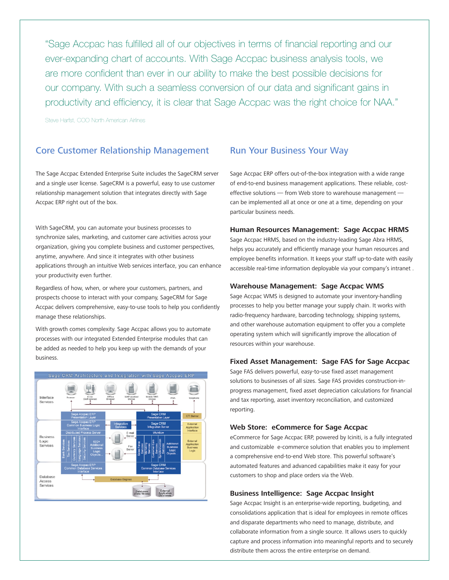"Sage Accpac has fulfilled all of our objectives in terms of financial reporting and our ever-expanding chart of accounts. With Sage Accpac business analysis tools, we are more confident than ever in our ability to make the best possible decisions for our company. With such a seamless conversion of our data and significant gains in productivity and efficiency, it is clear that Sage Accpac was the right choice for NAA."

Steve Harfst, COO North American Airlines

#### Core Customer Relationship Management

The Sage Accpac Extended Enterprise Suite includes the SageCRM server and a single user license. SageCRM is a powerful, easy to use customer relationship management solution that integrates directly with Sage Accpac ERP right out of the box.

With SageCRM, you can automate your business processes to synchronize sales, marketing, and customer care activities across your organization, giving you complete business and customer perspectives, anytime, anywhere. And since it integrates with other business applications through an intuitive Web services interface, you can enhance your productivity even further.

Regardless of how, when, or where your customers, partners, and prospects choose to interact with your company, SageCRM for Sage Accpac delivers comprehensive, easy-to-use tools to help you confidently manage these relationships.

With growth comes complexity. Sage Accpac allows you to automate processes with our integrated Extended Enterprise modules that can be added as needed to help you keep up with the demands of your business.



#### Run Your Business Your Way

Sage Accpac ERP offers out-of-the-box integration with a wide range of end-to-end business management applications. These reliable, costeffective solutions - from Web store to warehouse management can be implemented all at once or one at a time, depending on your particular business needs.

#### **Human Resources Management: Sage Accpac HRMS**

Sage Accpac HRMS, based on the industry-leading Sage Abra HRMS, helps you accurately and efficiently manage your human resources and employee benefits information. It keeps your staff up-to-date with easily accessible real-time information deployable via your company's intranet .

#### **Warehouse Management: Sage Accpac WMS**

Sage Accpac WMS is designed to automate your inventory-handling processes to help you better manage your supply chain. It works with radio-frequency hardware, barcoding technology, shipping systems, and other warehouse automation equipment to offer you a complete operating system which will significantly improve the allocation of resources within your warehouse.

#### **Fixed Asset Management: Sage FAS for Sage Accpac**

Sage FAS delivers powerful, easy-to-use fixed asset management solutions to businesses of all sizes. Sage FAS provides construction-inprogress management, fixed asset depreciation calculations for financial and tax reporting, asset inventory reconciliation, and customized reporting.

#### **Web Store: eCommerce for Sage Accpac**

eCommerce for Sage Accpac ERP, powered by Iciniti, is a fully integrated and customizable e-commerce solution that enables you to implement a comprehensive end-to-end Web store. This powerful software's automated features and advanced capabilities make it easy for your customers to shop and place orders via the Web.

#### **Business Intelligence: Sage Accpac Insight**

Sage Accpac Insight is an enterprise-wide reporting, budgeting, and consolidations application that is ideal for employees in remote offices and disparate departments who need to manage, distribute, and collaborate information from a single source. It allows users to quickly capture and process information into meaningful reports and to securely distribute them across the entire enterprise on demand.